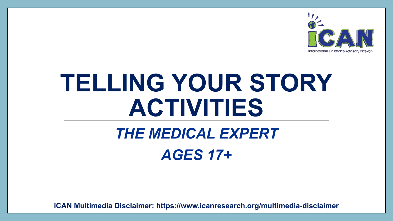

# **TELLING YOUR STORY ACTIVITIES**

## *THE MEDICAL EXPERT AGES 17+*

**iCAN Multimedia Disclaimer: https://www.icanresearch.org/multimedia-disclaimer**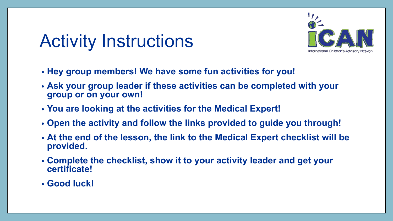## Activity Instructions



- **• Hey group members! We have some fun activities for you!**
- **• Ask your group leader if these activities can be completed with your group or on your own!**
- **• You are looking at the activities for the Medical Expert!**
- **• Open the activity and follow the links provided to guide you through!**
- **• At the end of the lesson, the link to the Medical Expert checklist will be provided.**
- **• Complete the checklist, show it to your activity leader and get your certificate!**
- **• Good luck!**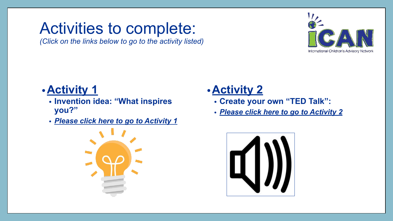### <span id="page-2-0"></span>Activities to complete:

*(Click on the links below to go to the activity listed)*



#### **•Activity 1**

- **• Invention idea: "What inspires you?"**
- *• [Please click here to go to Activity](#page-3-0) 1*



#### **•Activity 2**

- **• Create your own "TED Talk":**
- *• [Please click here to go to Activity](#page-4-0) 2*

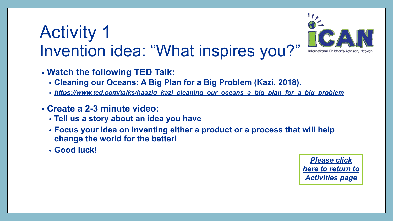### <span id="page-3-0"></span>Activity 1 Invention idea: "What inspires you?"



- **• Watch the following TED Talk:**
	- **• Cleaning our Oceans: A Big Plan for a Big Problem (Kazi, 2018).**
	- *• [https://www.ted.com/talks/haaziq\\_kazi\\_cleaning\\_our\\_oceans\\_a\\_big\\_plan\\_for\\_a\\_big\\_problem](https://www.ted.com/talks/haaziq_kazi_cleaning_our_oceans_a_big_plan_for_a_big_problem)*
- **• Create a 2-3 minute video:** 
	- **• Tell us a story about an idea you have**
	- **• Focus your idea on inventing either a product or a process that will help change the world for the better!**
	- **• Good luck!**

*[Please click](#page-2-0) [here to return to](#page-2-0) [Activities page](#page-2-0)*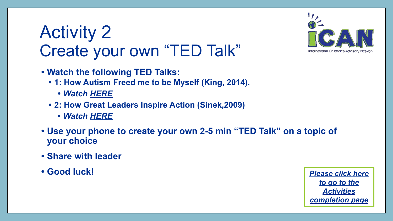## <span id="page-4-0"></span>Activity 2 Create your own "TED Talk"

- **• Watch the following TED Talks:**
	- **• 1: How Autism Freed me to be Myself (King, 2014).**
		- *• Watch [HERE](https://www.ted.com/talks/rosie_king_how_autism_freed_me_to_be_myself)*
	- **• 2: How Great Leaders Inspire Action (Sinek,2009)** 
		- *• Watch [HERE](https://www.ted.com/talks/simon_sinek_how_great_leaders_inspire_action#t-1035981)*
- **• Use your phone to create your own 2-5 min "TED Talk" on a topic of your choice**
- **• Share with leader**
- 



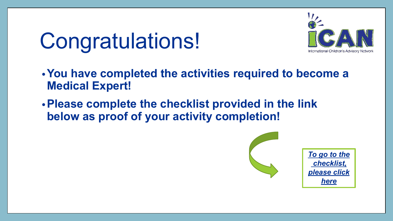## <span id="page-5-0"></span>Congratulations!



- **•You have completed the activities required to become a Medical Expert!**
- **•Please complete the checklist provided in the link below as proof of your activity completion!**